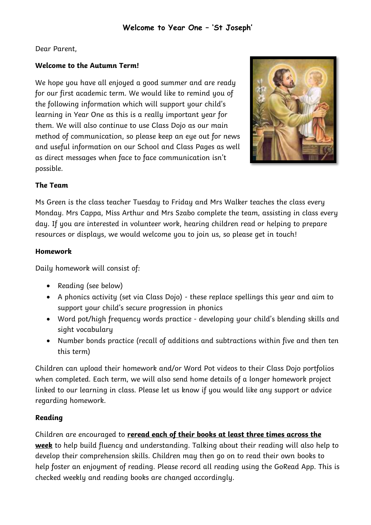## Dear Parent,

## *Welcome to the Autumn Term!*

We hope you have all enjoyed a good summer and are ready for our first academic term. We would like to remind you of the following information which will support your child's learning in Year One as this is a really important year for them. We will also continue to use Class Dojo as our main method of communication, so please keep an eye out for news and useful information on our School and Class Pages as well as direct messages when face to face communication isn't possible.



## *The Team*

Ms Green is the class teacher Tuesday to Friday and Mrs Walker teaches the class every Monday. Mrs Cappa, Miss Arthur and Mrs Szabo complete the team, assisting in class every day. If you are interested in volunteer work, hearing children read or helping to prepare resources or displays, we would welcome you to join us, so please get in touch!

## *Homework*

Daily homework will consist of:

- Reading (see below)
- A phonics activity (set via Class Dojo) these replace spellings this year and aim to support your child's secure progression in phonics
- Word pot/high frequency words practice developing your child's blending skills and sight vocabulary
- Number bonds practice (recall of additions and subtractions within five and then ten this term)

Children can upload their homework and/or Word Pot videos to their Class Dojo portfolios when completed. Each term, we will also send home details of a longer homework project linked to our learning in class. Please let us know if you would like any support or advice regarding homework.

## *Reading*

Children are encouraged to *reread each of their books at least three times across the week* to help build fluency and understanding. Talking about their reading will also help to develop their comprehension skills. Children may then go on to read their own books to help foster an enjoyment of reading. Please record all reading using the GoRead App. This is checked weekly and reading books are changed accordingly.